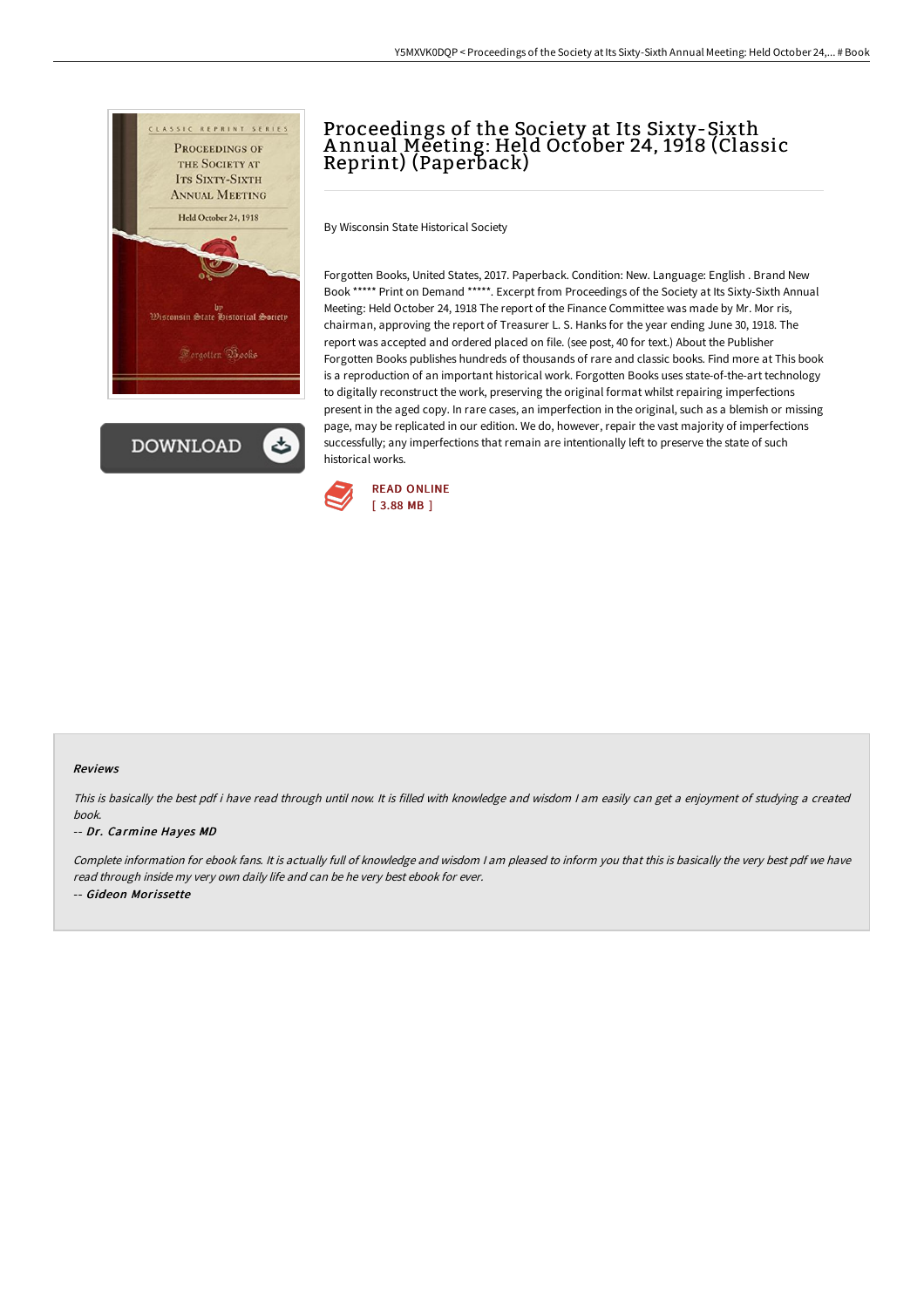

**DOWNLOAD** 

# Proceedings of the Society at Its Sixty-Sixth A nnual Meeting: Held October 24, 1918 (Classic Reprint) (Paperback)

By Wisconsin State Historical Society

Forgotten Books, United States, 2017. Paperback. Condition: New. Language: English . Brand New Book \*\*\*\*\* Print on Demand \*\*\*\*\*. Excerpt from Proceedings of the Society at Its Sixty-Sixth Annual Meeting: Held October 24, 1918 The report of the Finance Committee was made by Mr. Mor ris, chairman, approving the report of Treasurer L. S. Hanks for the year ending June 30, 1918. The report was accepted and ordered placed on file. (see post, 40 for text.) About the Publisher Forgotten Books publishes hundreds of thousands of rare and classic books. Find more at This book is a reproduction of an important historical work. Forgotten Books uses state-of-the-art technology to digitally reconstruct the work, preserving the original format whilst repairing imperfections present in the aged copy. In rare cases, an imperfection in the original, such as a blemish or missing page, may be replicated in our edition. We do, however, repair the vast majority of imperfections successfully; any imperfections that remain are intentionally left to preserve the state of such historical works.



#### Reviews

This is basically the best pdf i have read through until now. It is filled with knowledge and wisdom <sup>I</sup> am easily can get <sup>a</sup> enjoyment of studying <sup>a</sup> created book.

#### -- Dr. Carmine Hayes MD

Complete information for ebook fans. It is actually full of knowledge and wisdom <sup>I</sup> am pleased to inform you that this is basically the very best pdf we have read through inside my very own daily life and can be he very best ebook for ever. -- Gideon Morissette